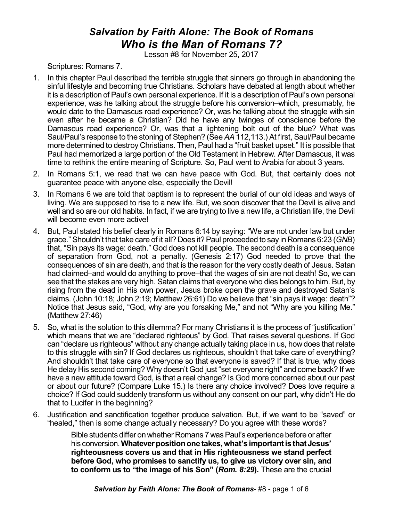## *Salvation by Faith Alone: The Book of Romans Who is the Man of Romans 7?*

Lesson #8 for November 25, 2017

Scriptures: Romans 7.

- 1. In this chapter Paul described the terrible struggle that sinners go through in abandoning the sinful lifestyle and becoming true Christians. Scholars have debated at length about whether it is a description of Paul's own personal experience. If it is a description of Paul's own personal experience, was he talking about the struggle before his conversion–which, presumably, he would date to the Damascus road experience? Or, was he talking about the struggle with sin even after he became a Christian? Did he have any twinges of conscience before the Damascus road experience? Or, was that a lightening bolt out of the blue? What was Saul/Paul's response to the stoning of Stephen? (See *AA* 112,113.) At first, Saul/Paul became more determined to destroy Christians. Then, Paul had a "fruit basket upset." It is possible that Paul had memorized a large portion of the Old Testament in Hebrew. After Damascus, it was time to rethink the entire meaning of Scripture. So, Paul went to Arabia for about 3 years.
- 2. In Romans 5:1, we read that we can have peace with God. But, that certainly does not guarantee peace with anyone else, especially the Devil!
- 3. In Romans 6 we are told that baptism is to represent the burial of our old ideas and ways of living. We are supposed to rise to a new life. But, we soon discover that the Devil is alive and well and so are our old habits. In fact, if we are trying to live a new life, a Christian life, the Devil will become even more active!
- 4. But, Paul stated his belief clearly in Romans 6:14 by saying: "We are not under law but under grace." Shouldn't that take care of it all? Does it?Paul proceeded to say in Romans 6:23 (*GNB*) that, "Sin pays its wage: death." God does not kill people. The second death is a consequence of separation from God, not a penalty. (Genesis 2:17) God needed to prove that the consequences of sin are death, and that is the reason for the very costly death of Jesus. Satan had claimed–and would do anything to prove–that the wages of sin are not death! So, we can see that the stakes are very high. Satan claims that everyone who dies belongs to him. But, by rising from the dead in His own power, Jesus broke open the grave and destroyed Satan's claims. (John 10:18; John 2:19; Matthew 26:61) Do we believe that "sin pays it wage: death"? Notice that Jesus said, "God, why are you forsaking Me," and not "Why are you killing Me." (Matthew 27:46)
- 5. So, what is the solution to this dilemma? For many Christians it is the process of "justification" which means that we are "declared righteous" by God. That raises several questions. If God can "declare us righteous" without any change actually taking place in us, how does that relate to this struggle with sin? If God declares us righteous, shouldn't that take care of everything? And shouldn't that take care of everyone so that everyone is saved? If that is true, why does He delay His second coming? Why doesn't God just "set everyone right" and come back? If we have a new attitude toward God, is that a real change? Is God more concerned about our past or about our future? (Compare Luke 15.) Is there any choice involved? Does love require a choice? If God could suddenly transform us without any consent on our part, why didn't He do that to Lucifer in the beginning?
- 6. Justification and sanctification together produce salvation. But, if we want to be "saved" or "healed," then is some change actually necessary? Do you agree with these words?

Bible students differ on whether Romans 7 was Paul's experience before or after his conversion.**Whateverpositiononetakes,what'simportantisthat Jesus' righteousness covers us and that in His righteousness we stand perfect before God, who promises to sanctify us, to give us victory over sin, and to conform us to "the image of his Son" (***Rom. 8:29***).** These are the crucial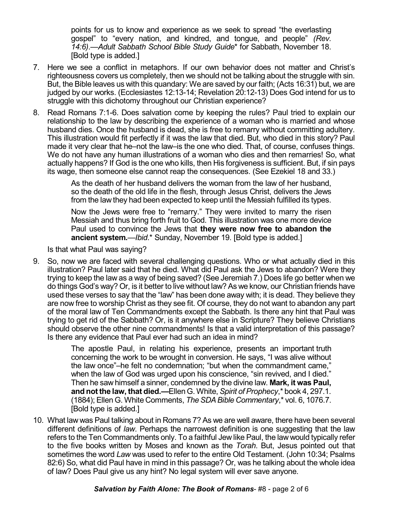points for us to know and experience as we seek to spread "the everlasting gospel" to "every nation, and kindred, and tongue, and people" *(Rev. 14:6)*.—*Adult Sabbath School Bible Study Guide*\* for Sabbath, November 18. [Bold type is added.]

- 7. Here we see a conflict in metaphors. If our own behavior does not matter and Christ's righteousness covers us completely, then we should not be talking about the struggle with sin. But, the Bible leaves us with this quandary: We are saved by our faith; (Acts 16:31) but, we are judged by our works. (Ecclesiastes 12:13-14; Revelation 20:12-13) Does God intend for us to struggle with this dichotomy throughout our Christian experience?
- 8. Read Romans 7:1-6. Does salvation come by keeping the rules? Paul tried to explain our relationship to the law by describing the experience of a woman who is married and whose husband dies. Once the husband is dead, she is free to remarry without committing adultery. This illustration would fit perfectly if it was the law that died. But, who died in this story? Paul made it very clear that he–not the law–is the one who died. That, of course, confuses things. We do not have any human illustrations of a woman who dies and then remarries! So, what actually happens? If God is the one who kills, then His forgiveness is sufficient. But, if sin pays its wage, then someone else cannot reap the consequences. (See Ezekiel 18 and 33.)

As the death of her husband delivers the woman from the law of her husband, so the death of the old life in the flesh, through Jesus Christ, delivers the Jews from the law they had been expected to keep until the Messiah fulfilled its types.

Now the Jews were free to "remarry." They were invited to marry the risen Messiah and thus bring forth fruit to God. This illustration was one more device Paul used to convince the Jews that **they were now free to abandon the ancient system.**—*Ibid*.\* Sunday, November 19. [Bold type is added.]

Is that what Paul was saying?

9. So, now we are faced with several challenging questions. Who or what actually died in this illustration? Paul later said that he died. What did Paul ask the Jews to abandon? Were they trying to keep the law as a way of being saved? (See Jeremiah 7.) Does life go better when we do things God's way? Or, is it better to live without law? As we know, our Christian friends have used these verses to say that the "law" has been done away with; it is dead. They believe they are now free to worship Christ as they see fit. Of course, they do not want to abandon any part of the moral law of Ten Commandments except the Sabbath. Is there any hint that Paul was trying to get rid of the Sabbath? Or, is it anywhere else in Scripture? They believe Christians should observe the other nine commandments! Is that a valid interpretation of this passage? Is there any evidence that Paul ever had such an idea in mind?

> The apostle Paul, in relating his experience, presents an important truth concerning the work to be wrought in conversion. He says, "I was alive without the law once"–he felt no condemnation; "but when the commandment came," when the law of God was urged upon his conscience, "sin revived, and I died." Then he saw himself a sinner, condemned by the divine law. **Mark, it was Paul, and not the law, that died.—**Ellen G. White, *Spirit of Prophecy*,\* book 4, 297.1. (1884); Ellen G. White Comments, *TheSDABible Commentary*,\* vol. 6, 1076.7. [Bold type is added.]

10. What law was Paul talking about in Romans 7? As we are well aware, there have been several different definitions of *law*. Perhaps the narrowest definition is one suggesting that the law refers to the Ten Commandments only. To a faithful Jew like Paul, the law would typically refer to the five books written by Moses and known as the *Torah*. But, Jesus pointed out that sometimes the word *Law* was used to refer to the entire Old Testament. (John 10:34; Psalms 82:6) So, what did Paul have in mind in this passage? Or, was he talking about the whole idea of law? Does Paul give us any hint? No legal system will ever save anyone.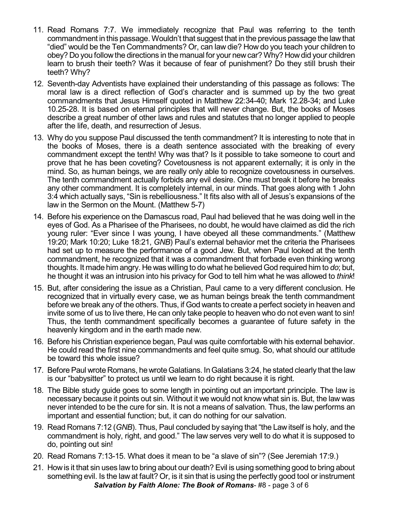- 11. Read Romans 7:7. We immediately recognize that Paul was referring to the tenth commandment in this passage. Wouldn't that suggest that in the previous passage the lawthat "died" would be the Ten Commandments? Or, can law die? How do you teach your children to obey? Do you followthe directions in the manual for your newcar? Why? Howdid your children learn to brush their teeth? Was it because of fear of punishment? Do they still brush their teeth? Why?
- 12. Seventh-day Adventists have explained their understanding of this passage as follows: The moral law is a direct reflection of God's character and is summed up by the two great commandments that Jesus Himself quoted in Matthew 22:34-40; Mark 12.28-34; and Luke 10.25-28. It is based on eternal principles that will never change. But, the books of Moses describe a great number of other laws and rules and statutes that no longer applied to people after the life, death, and resurrection of Jesus.
- 13. Why do you suppose Paul discussed the tenth commandment? It is interesting to note that in the books of Moses, there is a death sentence associated with the breaking of every commandment except the tenth! Why was that? Is it possible to take someone to court and prove that he has been coveting? Covetousness is not apparent externally; it is only in the mind. So, as human beings, we are really only able to recognize covetousness in ourselves. The tenth commandment actually forbids any evil desire. One must break it before he breaks any other commandment. It is completely internal, in our minds. That goes along with 1 John 3:4 which actually says, "Sin is rebelliousness." It fits also with all of Jesus's expansions of the law in the Sermon on the Mount. (Matthew 5-7)
- 14. Before his experience on the Damascus road, Paul had believed that he was doing well in the eyes of God. As a Pharisee of the Pharisees, no doubt, he would have claimed as did the rich young ruler: "Ever since I was young, I have obeyed all these commandments." (Matthew 19:20; Mark 10:20; Luke 18:21, *GNB*) Paul's external behavior met the criteria the Pharisees had set up to measure the performance of a good Jew. But, when Paul looked at the tenth commandment, he recognized that it was a commandment that forbade even thinking wrong thoughts. It made him angry. He was willing to do what he believed God required him to *do*; but, he thought it was an intrusion into his privacy for God to tell him what he was allowed to *think*!
- 15. But, after considering the issue as a Christian, Paul came to a very different conclusion. He recognized that in virtually every case, we as human beings break the tenth commandment before we break any of the others. Thus, if God wants to create a perfect society in heaven and invite some of us to live there, He can only take people to heaven who do not even want to sin! Thus, the tenth commandment specifically becomes a guarantee of future safety in the heavenly kingdom and in the earth made new.
- 16. Before his Christian experience began, Paul was quite comfortable with his external behavior. He could read the first nine commandments and feel quite smug. So, what should our attitude be toward this whole issue?
- 17. Before Paul wrote Romans, he wrote Galatians. In Galatians 3:24, he stated clearly that the law is our "babysitter" to protect us until we learn to do right because it is right.
- 18. The Bible study guide goes to some length in pointing out an important principle. The law is necessary because it points out sin. Without it we would not know what sin is. But, the law was never intended to be the cure for sin. It is not a means of salvation. Thus, the law performs an important and essential function; but, it can do nothing for our salvation.
- 19. Read Romans 7:12 (*GNB*). Thus, Paul concluded by saying that "the Law itself is holy, and the commandment is holy, right, and good." The law serves very well to do what it is supposed to do, pointing out sin!
- 20. Read Romans 7:13-15. What does it mean to be "a slave of sin"? (See Jeremiah 17:9.)
- 21. Howis it that sin uses lawto bring about our death? Evil is using something good to bring about something evil. Is the law at fault? Or, is it sin that is using the perfectly good tool or instrument *Salvation by Faith Alone: The Book of Romans*- #8 - page 3 of 6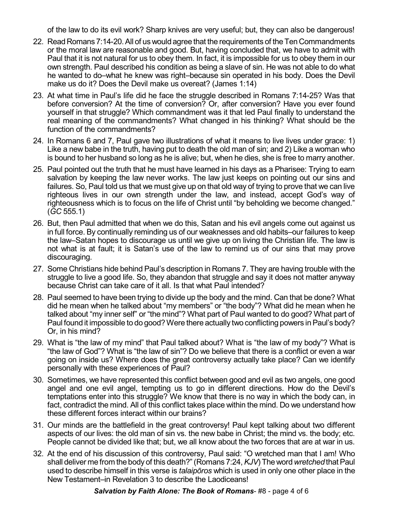of the law to do its evil work? Sharp knives are very useful; but, they can also be dangerous!

- 22. Read Romans 7:14-20. All of us would agree that the requirements of the Ten Commandments or the moral law are reasonable and good. But, having concluded that, we have to admit with Paul that it is not natural for us to obey them. In fact, it is impossible for us to obey them in our own strength. Paul described his condition as being a slave of sin. He was not able to do what he wanted to do–what he knew was right–because sin operated in his body. Does the Devil make us do it? Does the Devil make us overeat? (James 1:14)
- 23. At what time in Paul's life did he face the struggle described in Romans 7:14-25? Was that before conversion? At the time of conversion? Or, after conversion? Have you ever found yourself in that struggle? Which commandment was it that led Paul finally to understand the real meaning of the commandments? What changed in his thinking? What should be the function of the commandments?
- 24. In Romans 6 and 7, Paul gave two illustrations of what it means to live lives under grace: 1) Like a new babe in the truth, having put to death the old man of sin; and 2) Like a woman who is bound to her husband so long as he is alive; but, when he dies, she is free to marry another.
- 25. Paul pointed out the truth that he must have learned in his days as a Pharisee: Trying to earn salvation by keeping the law never works. The law just keeps on pointing out our sins and failures. So, Paul told us that we must give up on that old way of trying to prove that we can live righteous lives in our own strength under the law, and instead, accept God's way of righteousness which is to focus on the life of Christ until "by beholding we become changed." (*GC* 555.1)
- 26. But, then Paul admitted that when we do this, Satan and his evil angels come out against us in full force. By continually reminding us of our weaknesses and old habits–our failures to keep the law–Satan hopes to discourage us until we give up on living the Christian life. The law is not what is at fault; it is Satan's use of the law to remind us of our sins that may prove discouraging.
- 27. Some Christians hide behind Paul's description in Romans 7. They are having trouble with the struggle to live a good life. So, they abandon that struggle and say it does not matter anyway because Christ can take care of it all. Is that what Paul intended?
- 28. Paul seemed to have been trying to divide up the body and the mind. Can that be done? What did he mean when he talked about "my members" or "the body"? What did he mean when he talked about "my inner self" or "the mind"? What part of Paul wanted to do good? What part of Paul found it impossible to do good? Were there actually two conflicting powers in Paul's body? Or, in his mind?
- 29. What is "the law of my mind" that Paul talked about? What is "the law of my body"? What is "the law of God"? What is "the law of sin"? Do we believe that there is a conflict or even a war going on inside us? Where does the great controversy actually take place? Can we identify personally with these experiences of Paul?
- 30. Sometimes, we have represented this conflict between good and evil as two angels, one good angel and one evil angel, tempting us to go in different directions. How do the Devil's temptations enter into this struggle? We know that there is no way in which the body can, in fact, contradict the mind. All of this conflict takes place within the mind. Do we understand how these different forces interact within our brains?
- 31. Our minds are the battlefield in the great controversy! Paul kept talking about two different aspects of our lives: the old man of sin vs. the new babe in Christ; the mind vs. the body; etc. People cannot be divided like that; but, we all know about the two forces that are at war in us.
- 32. At the end of his discussion of this controversy, Paul said: "O wretched man that I am! Who shall deliver me from the body of this death?" (Romans 7:24, *KJV*) The word *wretched* that Paul used to describe himself in this verse is *talaipôros* which is used in only one other place in the New Testament–in Revelation 3 to describe the Laodiceans!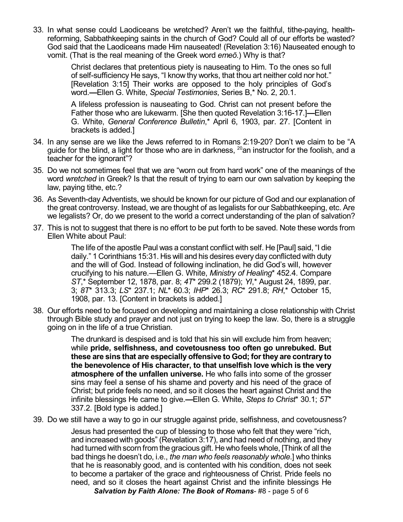33. In what sense could Laodiceans be wretched? Aren't we the faithful, tithe-paying, healthreforming, Sabbathkeeping saints in the church of God? Could all of our efforts be wasted? God said that the Laodiceans made Him nauseated! (Revelation 3:16) Nauseated enough to vomit. (That is the real meaning of the Greek word *emeô*.) Why is that?

> Christ declares that pretentious piety is nauseating to Him. To the ones so full of self-sufficiency He says, "I know thy works, that thou art neither cold nor hot." [Revelation 3:15] Their works are opposed to the holy principles of God's word.**—**Ellen G. White, *Special Testimonies*, Series B,\* No. 2, 20.1.

> A lifeless profession is nauseating to God. Christ can not present before the Father those who are lukewarm. [She then quoted Revelation 3:16-17.]**—**Ellen G. White, *General Conference Bulletin*,\* April 6, 1903, par. 27. [Content in brackets is added.]

- 34. In any sense are we like the Jews referred to in Romans 2:19-20? Don't we claim to be "A guide for the blind, a light for those who are in darkness,  $^{20}$ an instructor for the foolish, and a teacher for the ignorant"?
- 35. Do we not sometimes feel that we are "worn out from hard work" one of the meanings of the word *wretched* in Greek? Is that the result of trying to earn our own salvation by keeping the law, paying tithe, etc.?
- 36. As Seventh-day Adventists, we should be known for our picture of God and our explanation of the great controversy. Instead, we are thought of as legalists for our Sabbathkeeping, etc. Are we legalists? Or, do we present to the world a correct understanding of the plan of salvation?
- 37. This is not to suggest that there is no effort to be put forth to be saved. Note these words from Ellen White about Paul:

The life of the apostle Paul was a constant conflict with self. He [Paul] said, "I die daily." 1 Corinthians 15:31. His will and his desires every day conflicted with duty and the will of God. Instead of following inclination, he did God's will, however crucifying to his nature.—Ellen G. White, *Ministry of Healing*\* 452.4. Compare *ST*,\* September 12, 1878, par. 8; *4T*\* 299.2 (1879); *YI*,\* August 24, 1899, par. 3; *8T*\* 313.3; *LS*\* 237.1; *NL*\* 60.3; *IHP*\* 26.3; *RC*\* 291.8; *RH*,\* October 15, 1908, par. 13. [Content in brackets is added.]

38. Our efforts need to be focused on developing and maintaining a close relationship with Christ through Bible study and prayer and not just on trying to keep the law. So, there is a struggle going on in the life of a true Christian.

> The drunkard is despised and is told that his sin will exclude him from heaven; while **pride, selfishness, and covetousness too often go unrebuked. But these are sins that are especially offensive to God; forthey are contrary to the benevolence of His character, to that unselfish love which is the very atmosphere of the unfallen universe.** He who falls into some of the grosser sins may feel a sense of his shame and poverty and his need of the grace of Christ; but pride feels no need, and so it closes the heart against Christ and the infinite blessings He came to give.**—**Ellen G. White, *Steps to Christ*\* 30.1; *5T*\* 337.2. [Bold type is added.]

39. Do we still have a way to go in our struggle against pride, selfishness, and covetousness?

Jesus had presented the cup of blessing to those who felt that they were "rich, and increased with goods" (Revelation 3:17), and had need of nothing, and they had turned with scorn from the gracious gift. He who feels whole, [Think of all the bad things he doesn't do, i.e., *the man who feels reasonably whole*.] who thinks that he is reasonably good, and is contented with his condition, does not seek to become a partaker of the grace and righteousness of Christ. Pride feels no need, and so it closes the heart against Christ and the infinite blessings He

*Salvation by Faith Alone: The Book of Romans*- #8 - page 5 of 6